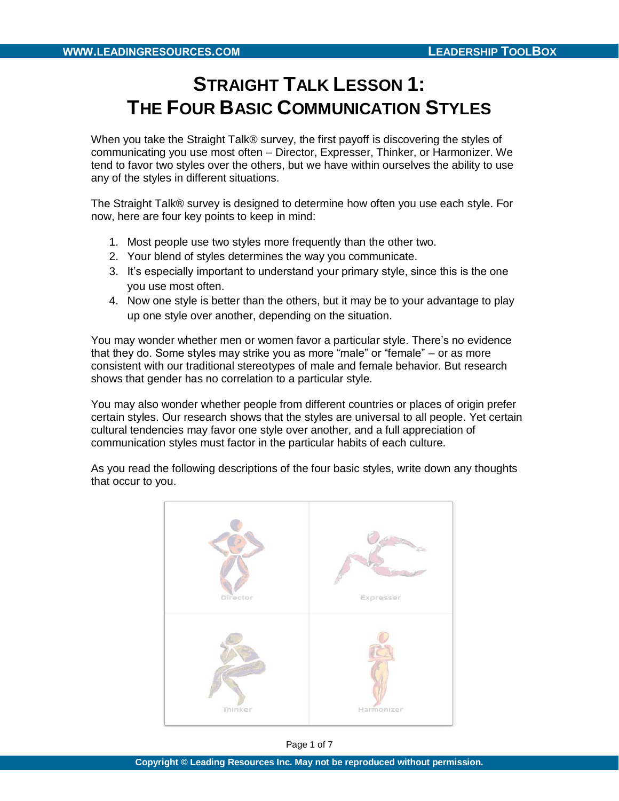# **STRAIGHT TALK LESSON 1: THE FOUR BASIC COMMUNICATION STYLES**

When you take the Straight Talk® survey, the first payoff is discovering the styles of communicating you use most often – Director, Expresser, Thinker, or Harmonizer. We tend to favor two styles over the others, but we have within ourselves the ability to use any of the styles in different situations.

The Straight Talk® survey is designed to determine how often you use each style. For now, here are four key points to keep in mind:

- 1. Most people use two styles more frequently than the other two.
- 2. Your blend of styles determines the way you communicate.
- 3. It's especially important to understand your primary style, since this is the one you use most often.
- 4. Now one style is better than the others, but it may be to your advantage to play up one style over another, depending on the situation.

You may wonder whether men or women favor a particular style. There's no evidence that they do. Some styles may strike you as more "male" or "female" – or as more consistent with our traditional stereotypes of male and female behavior. But research shows that gender has no correlation to a particular style.

You may also wonder whether people from different countries or places of origin prefer certain styles. Our research shows that the styles are universal to all people. Yet certain cultural tendencies may favor one style over another, and a full appreciation of communication styles must factor in the particular habits of each culture.

As you read the following descriptions of the four basic styles, write down any thoughts that occur to you.



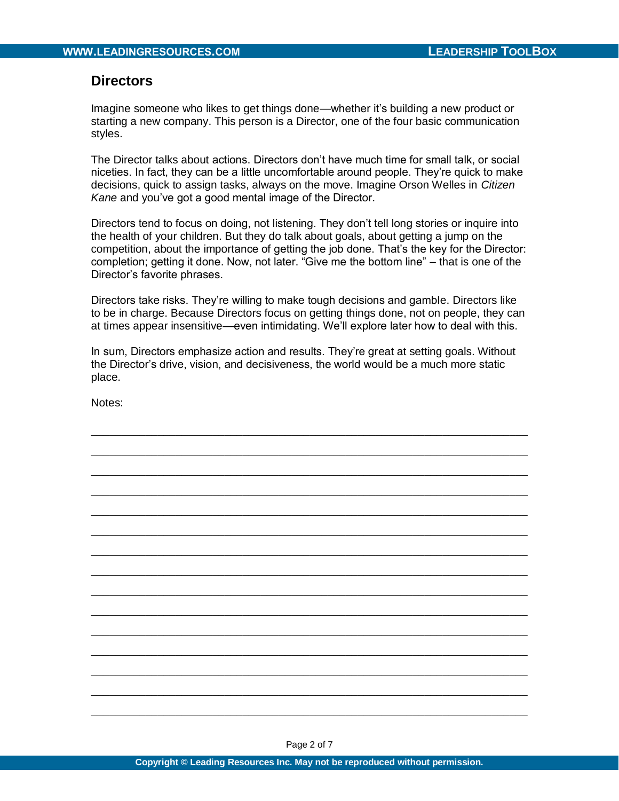#### **Directors**

Imagine someone who likes to get things done—whether it's building a new product or starting a new company. This person is a Director, one of the four basic communication styles.

The Director talks about actions. Directors don't have much time for small talk, or social niceties. In fact, they can be a little uncomfortable around people. They're quick to make decisions, quick to assign tasks, always on the move. Imagine Orson Welles in *Citizen Kane* and you've got a good mental image of the Director.

Directors tend to focus on doing, not listening. They don't tell long stories or inquire into the health of your children. But they do talk about goals, about getting a jump on the competition, about the importance of getting the job done. That's the key for the Director: completion; getting it done. Now, not later. "Give me the bottom line" – that is one of the Director's favorite phrases.

Directors take risks. They're willing to make tough decisions and gamble. Directors like to be in charge. Because Directors focus on getting things done, not on people, they can at times appear insensitive—even intimidating. We'll explore later how to deal with this.

In sum, Directors emphasize action and results. They're great at setting goals. Without the Director's drive, vision, and decisiveness, the world would be a much more static place.

 $\mathcal{L}_\text{max}$  , and the contribution of the contribution of the contribution of the contribution of the contribution of the contribution of the contribution of the contribution of the contribution of the contribution of t

Notes:



Page 2 of 7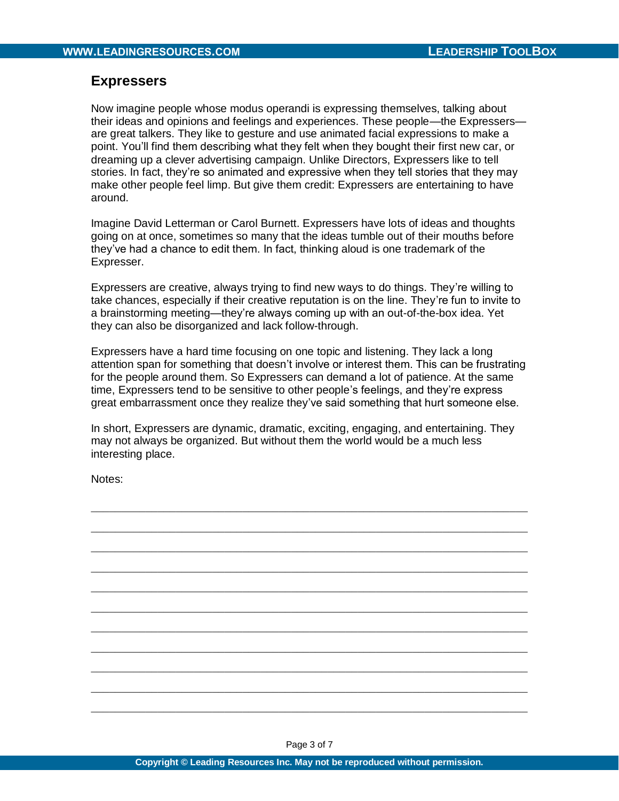#### **Expressers**

Now imagine people whose modus operandi is expressing themselves, talking about their ideas and opinions and feelings and experiences. These people—the Expressers are great talkers. They like to gesture and use animated facial expressions to make a point. You'll find them describing what they felt when they bought their first new car, or dreaming up a clever advertising campaign. Unlike Directors, Expressers like to tell stories. In fact, they're so animated and expressive when they tell stories that they may make other people feel limp. But give them credit: Expressers are entertaining to have around.

Imagine David Letterman or Carol Burnett. Expressers have lots of ideas and thoughts going on at once, sometimes so many that the ideas tumble out of their mouths before they've had a chance to edit them. In fact, thinking aloud is one trademark of the Expresser.

Expressers are creative, always trying to find new ways to do things. They're willing to take chances, especially if their creative reputation is on the line. They're fun to invite to a brainstorming meeting—they're always coming up with an out-of-the-box idea. Yet they can also be disorganized and lack follow-through.

Expressers have a hard time focusing on one topic and listening. They lack a long attention span for something that doesn't involve or interest them. This can be frustrating for the people around them. So Expressers can demand a lot of patience. At the same time, Expressers tend to be sensitive to other people's feelings, and they're express great embarrassment once they realize they've said something that hurt someone else.

In short, Expressers are dynamic, dramatic, exciting, engaging, and entertaining. They may not always be organized. But without them the world would be a much less interesting place.

 $\mathcal{L}_\text{max}$  , and the contribution of the contribution of the contribution of the contribution of the contribution of the contribution of the contribution of the contribution of the contribution of the contribution of t  $\mathcal{L}_\text{max}$  , and the contribution of the contribution of the contribution of the contribution of the contribution of the contribution of the contribution of the contribution of the contribution of the contribution of t  $\mathcal{L}_\text{max}$  , and the contribution of the contribution of the contribution of the contribution of the contribution of the contribution of the contribution of the contribution of the contribution of the contribution of t  $\mathcal{L}_\text{max} = \mathcal{L}_\text{max} = \mathcal{L}_\text{max} = \mathcal{L}_\text{max} = \mathcal{L}_\text{max} = \mathcal{L}_\text{max} = \mathcal{L}_\text{max} = \mathcal{L}_\text{max} = \mathcal{L}_\text{max} = \mathcal{L}_\text{max} = \mathcal{L}_\text{max} = \mathcal{L}_\text{max} = \mathcal{L}_\text{max} = \mathcal{L}_\text{max} = \mathcal{L}_\text{max} = \mathcal{L}_\text{max} = \mathcal{L}_\text{max} = \mathcal{L}_\text{max} = \mathcal{$  $\mathcal{L}_\text{max} = \mathcal{L}_\text{max} = \mathcal{L}_\text{max} = \mathcal{L}_\text{max} = \mathcal{L}_\text{max} = \mathcal{L}_\text{max} = \mathcal{L}_\text{max} = \mathcal{L}_\text{max} = \mathcal{L}_\text{max} = \mathcal{L}_\text{max} = \mathcal{L}_\text{max} = \mathcal{L}_\text{max} = \mathcal{L}_\text{max} = \mathcal{L}_\text{max} = \mathcal{L}_\text{max} = \mathcal{L}_\text{max} = \mathcal{L}_\text{max} = \mathcal{L}_\text{max} = \mathcal{$  $\mathcal{L}_\text{max}$  , and the contribution of the contribution of the contribution of the contribution of the contribution of the contribution of the contribution of the contribution of the contribution of the contribution of t  $\mathcal{L}_\text{max}$  , and the contribution of the contribution of the contribution of the contribution of the contribution of the contribution of the contribution of the contribution of the contribution of the contribution of t  $\mathcal{L}_\text{max}$  , and the contribution of the contribution of the contribution of the contribution of the contribution of the contribution of the contribution of the contribution of the contribution of the contribution of t  $\mathcal{L}_\text{max}$  , and the contribution of the contribution of the contribution of the contribution of the contribution of the contribution of the contribution of the contribution of the contribution of the contribution of t  $\mathcal{L}_\text{max}$  , and the contribution of the contribution of the contribution of the contribution of the contribution of the contribution of the contribution of the contribution of the contribution of the contribution of t  $\mathcal{L}_\text{max} = \mathcal{L}_\text{max} = \mathcal{L}_\text{max} = \mathcal{L}_\text{max} = \mathcal{L}_\text{max} = \mathcal{L}_\text{max} = \mathcal{L}_\text{max} = \mathcal{L}_\text{max} = \mathcal{L}_\text{max} = \mathcal{L}_\text{max} = \mathcal{L}_\text{max} = \mathcal{L}_\text{max} = \mathcal{L}_\text{max} = \mathcal{L}_\text{max} = \mathcal{L}_\text{max} = \mathcal{L}_\text{max} = \mathcal{L}_\text{max} = \mathcal{L}_\text{max} = \mathcal{$ 

Notes:

Page 3 of 7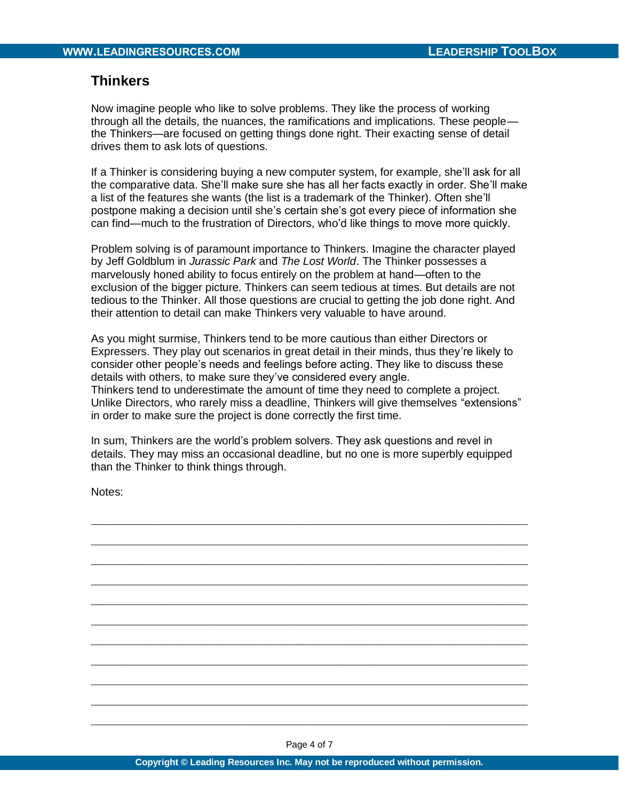#### **Thinkers**

Now imagine people who like to solve problems. They like the process of working through all the details, the nuances, the ramifications and implications. These people the Thinkers—are focused on getting things done right. Their exacting sense of detail drives them to ask lots of questions.

If a Thinker is considering buying a new computer system, for example, she'll ask for all the comparative data. She'll make sure she has all her facts exactly in order. She'll make a list of the features she wants (the list is a trademark of the Thinker). Often she'll postpone making a decision until she's certain she's got every piece of information she can find—much to the frustration of Directors, who'd like things to move more quickly.

Problem solving is of paramount importance to Thinkers. Imagine the character played by Jeff Goldblum in *Jurassic Park* and *The Lost World*. The Thinker possesses a marvelously honed ability to focus entirely on the problem at hand—often to the exclusion of the bigger picture. Thinkers can seem tedious at times. But details are not tedious to the Thinker. All those questions are crucial to getting the job done right. And their attention to detail can make Thinkers very valuable to have around.

As you might surmise, Thinkers tend to be more cautious than either Directors or Expressers. They play out scenarios in great detail in their minds, thus they're likely to consider other people's needs and feelings before acting. They like to discuss these details with others, to make sure they've considered every angle. Thinkers tend to underestimate the amount of time they need to complete a project.

Unlike Directors, who rarely miss a deadline, Thinkers will give themselves "extensions" in order to make sure the project is done correctly the first time.

In sum, Thinkers are the world's problem solvers. They ask questions and revel in details. They may miss an occasional deadline, but no one is more superbly equipped than the Thinker to think things through.

Notes:



Page 4 of 7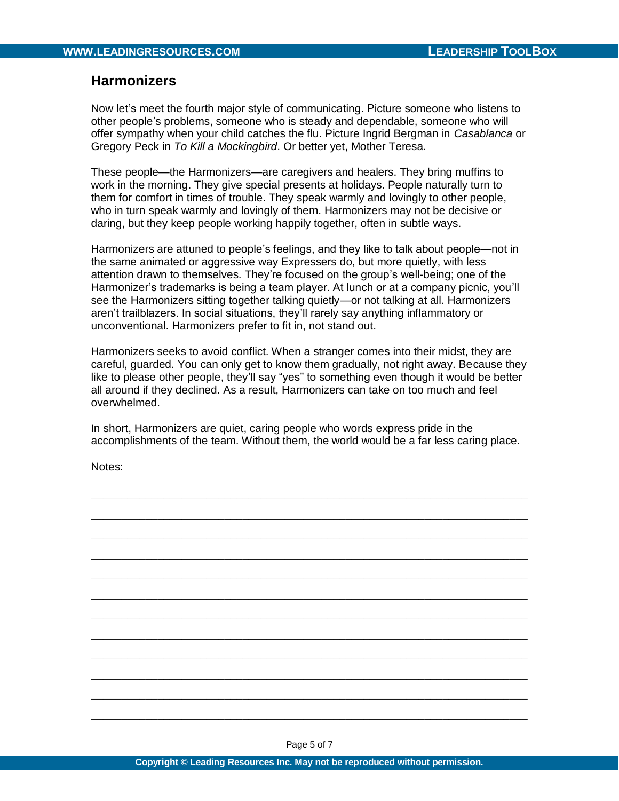#### **Harmonizers**

Now let's meet the fourth major style of communicating. Picture someone who listens to other people's problems, someone who is steady and dependable, someone who will offer sympathy when your child catches the flu. Picture Ingrid Bergman in *Casablanca* or Gregory Peck in *To Kill a Mockingbird*. Or better yet, Mother Teresa.

These people—the Harmonizers—are caregivers and healers. They bring muffins to work in the morning. They give special presents at holidays. People naturally turn to them for comfort in times of trouble. They speak warmly and lovingly to other people, who in turn speak warmly and lovingly of them. Harmonizers may not be decisive or daring, but they keep people working happily together, often in subtle ways.

Harmonizers are attuned to people's feelings, and they like to talk about people—not in the same animated or aggressive way Expressers do, but more quietly, with less attention drawn to themselves. They're focused on the group's well-being; one of the Harmonizer's trademarks is being a team player. At lunch or at a company picnic, you'll see the Harmonizers sitting together talking quietly—or not talking at all. Harmonizers aren't trailblazers. In social situations, they'll rarely say anything inflammatory or unconventional. Harmonizers prefer to fit in, not stand out.

Harmonizers seeks to avoid conflict. When a stranger comes into their midst, they are careful, guarded. You can only get to know them gradually, not right away. Because they like to please other people, they'll say "yes" to something even though it would be better all around if they declined. As a result, Harmonizers can take on too much and feel overwhelmed.

In short, Harmonizers are quiet, caring people who words express pride in the accomplishments of the team. Without them, the world would be a far less caring place.

 $\mathcal{L}_\text{max}$  , and the contribution of the contribution of the contribution of the contribution of the contribution of the contribution of the contribution of the contribution of the contribution of the contribution of t  $\mathcal{L}_\text{max} = \mathcal{L}_\text{max} = \mathcal{L}_\text{max} = \mathcal{L}_\text{max} = \mathcal{L}_\text{max} = \mathcal{L}_\text{max} = \mathcal{L}_\text{max} = \mathcal{L}_\text{max} = \mathcal{L}_\text{max} = \mathcal{L}_\text{max} = \mathcal{L}_\text{max} = \mathcal{L}_\text{max} = \mathcal{L}_\text{max} = \mathcal{L}_\text{max} = \mathcal{L}_\text{max} = \mathcal{L}_\text{max} = \mathcal{L}_\text{max} = \mathcal{L}_\text{max} = \mathcal{$  $\mathcal{L}_\text{max}$  , and the contribution of the contribution of the contribution of the contribution of the contribution of the contribution of the contribution of the contribution of the contribution of the contribution of t  $\mathcal{L}_\text{max}$  , and the contribution of the contribution of the contribution of the contribution of the contribution of the contribution of the contribution of the contribution of the contribution of the contribution of t  $\mathcal{L}_\text{max} = \mathcal{L}_\text{max} = \mathcal{L}_\text{max} = \mathcal{L}_\text{max} = \mathcal{L}_\text{max} = \mathcal{L}_\text{max} = \mathcal{L}_\text{max} = \mathcal{L}_\text{max} = \mathcal{L}_\text{max} = \mathcal{L}_\text{max} = \mathcal{L}_\text{max} = \mathcal{L}_\text{max} = \mathcal{L}_\text{max} = \mathcal{L}_\text{max} = \mathcal{L}_\text{max} = \mathcal{L}_\text{max} = \mathcal{L}_\text{max} = \mathcal{L}_\text{max} = \mathcal{$  $\mathcal{L}_\text{max}$  , and the contribution of the contribution of the contribution of the contribution of the contribution of the contribution of the contribution of the contribution of the contribution of the contribution of t  $\mathcal{L}_\text{max}$  , and the contribution of the contribution of the contribution of the contribution of the contribution of the contribution of the contribution of the contribution of the contribution of the contribution of t  $\mathcal{L}_\text{max} = \mathcal{L}_\text{max} = \mathcal{L}_\text{max} = \mathcal{L}_\text{max} = \mathcal{L}_\text{max} = \mathcal{L}_\text{max} = \mathcal{L}_\text{max} = \mathcal{L}_\text{max} = \mathcal{L}_\text{max} = \mathcal{L}_\text{max} = \mathcal{L}_\text{max} = \mathcal{L}_\text{max} = \mathcal{L}_\text{max} = \mathcal{L}_\text{max} = \mathcal{L}_\text{max} = \mathcal{L}_\text{max} = \mathcal{L}_\text{max} = \mathcal{L}_\text{max} = \mathcal{$  $\mathcal{L}_\text{max}$  , and the contribution of the contribution of the contribution of the contribution of the contribution of the contribution of the contribution of the contribution of the contribution of the contribution of t  $\mathcal{L}_\text{max}$  , and the contribution of the contribution of the contribution of the contribution of the contribution of the contribution of the contribution of the contribution of the contribution of the contribution of t  $\mathcal{L}_\text{max} = \mathcal{L}_\text{max} = \mathcal{L}_\text{max} = \mathcal{L}_\text{max} = \mathcal{L}_\text{max} = \mathcal{L}_\text{max} = \mathcal{L}_\text{max} = \mathcal{L}_\text{max} = \mathcal{L}_\text{max} = \mathcal{L}_\text{max} = \mathcal{L}_\text{max} = \mathcal{L}_\text{max} = \mathcal{L}_\text{max} = \mathcal{L}_\text{max} = \mathcal{L}_\text{max} = \mathcal{L}_\text{max} = \mathcal{L}_\text{max} = \mathcal{L}_\text{max} = \mathcal{$  $\mathcal{L}_\text{max}$  , and the contribution of the contribution of the contribution of the contribution of the contribution of the contribution of the contribution of the contribution of the contribution of the contribution of t

Notes:

Page 5 of 7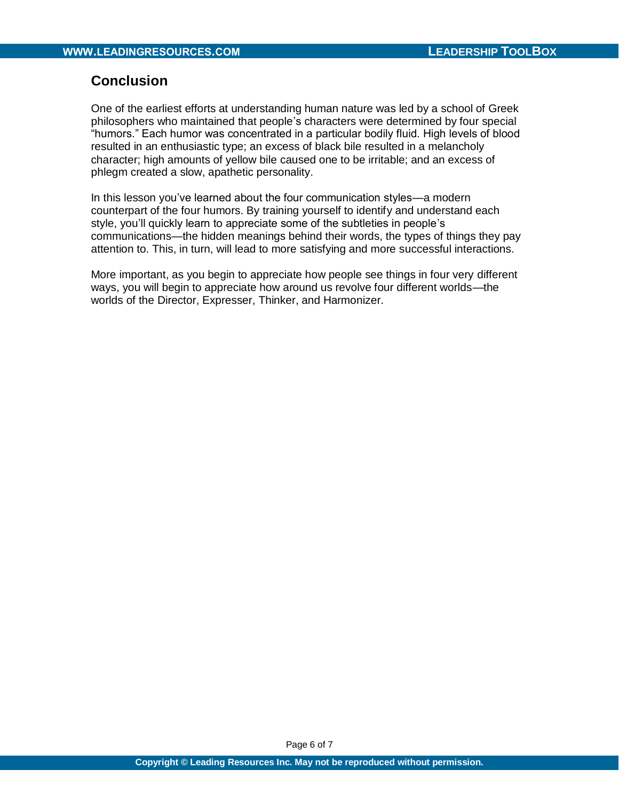### **Conclusion**

One of the earliest efforts at understanding human nature was led by a school of Greek philosophers who maintained that people's characters were determined by four special "humors." Each humor was concentrated in a particular bodily fluid. High levels of blood resulted in an enthusiastic type; an excess of black bile resulted in a melancholy character; high amounts of yellow bile caused one to be irritable; and an excess of phlegm created a slow, apathetic personality.

In this lesson you've learned about the four communication styles—a modern counterpart of the four humors. By training yourself to identify and understand each style, you'll quickly learn to appreciate some of the subtleties in people's communications—the hidden meanings behind their words, the types of things they pay attention to. This, in turn, will lead to more satisfying and more successful interactions.

More important, as you begin to appreciate how people see things in four very different ways, you will begin to appreciate how around us revolve four different worlds—the worlds of the Director, Expresser, Thinker, and Harmonizer.